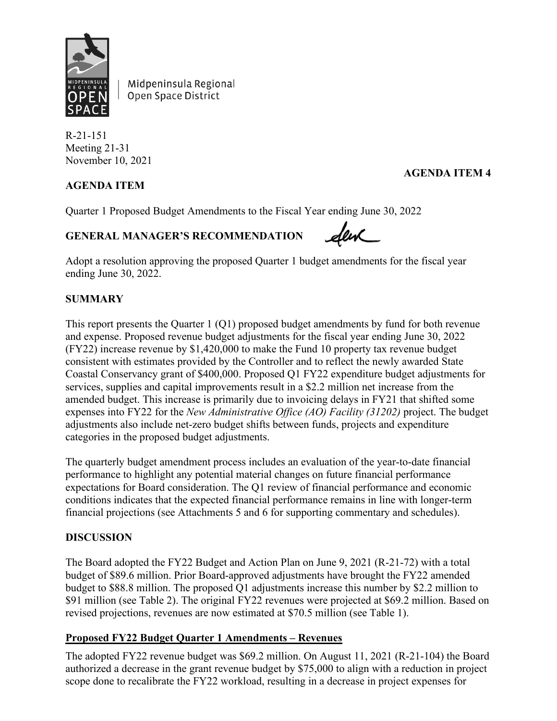

Midpeninsula Regional Open Space District

R-21-151 Meeting 21-31 November 10, 2021

## **AGENDA ITEM**

## **AGENDA ITEM 4**

Quarter 1 Proposed Budget Amendments to the Fiscal Year ending June 30, 2022

## **GENERAL MANAGER'S RECOMMENDATION**

Adopt a resolution approving the proposed Quarter 1 budget amendments for the fiscal year ending June 30, 2022.

### **SUMMARY**

This report presents the Quarter 1 (Q1) proposed budget amendments by fund for both revenue and expense. Proposed revenue budget adjustments for the fiscal year ending June 30, 2022 (FY22) increase revenue by \$1,420,000 to make the Fund 10 property tax revenue budget consistent with estimates provided by the Controller and to reflect the newly awarded State Coastal Conservancy grant of \$400,000. Proposed Q1 FY22 expenditure budget adjustments for services, supplies and capital improvements result in a \$2.2 million net increase from the amended budget. This increase is primarily due to invoicing delays in FY21 that shifted some expenses into FY22 for the *New Administrative Office (AO) Facility (31202)* project. The budget adjustments also include net-zero budget shifts between funds, projects and expenditure categories in the proposed budget adjustments.

The quarterly budget amendment process includes an evaluation of the year-to-date financial performance to highlight any potential material changes on future financial performance expectations for Board consideration. The Q1 review of financial performance and economic conditions indicates that the expected financial performance remains in line with longer-term financial projections (see Attachments 5 and 6 for supporting commentary and schedules).

#### **DISCUSSION**

The Board adopted the FY22 Budget and Action Plan on June 9, 2021 (R-21-72) with a total budget of \$89.6 million. Prior Board-approved adjustments have brought the FY22 amended budget to \$88.8 million. The proposed Q1 adjustments increase this number by \$2.2 million to \$91 million (see Table 2). The original FY22 revenues were projected at \$69.2 million. Based on revised projections, revenues are now estimated at \$70.5 million (see Table 1).

#### **Proposed FY22 Budget Quarter 1 Amendments – Revenues**

The adopted FY22 revenue budget was \$69.2 million. On August 11, 2021 (R-21-104) the Board authorized a decrease in the grant revenue budget by \$75,000 to align with a reduction in project scope done to recalibrate the FY22 workload, resulting in a decrease in project expenses for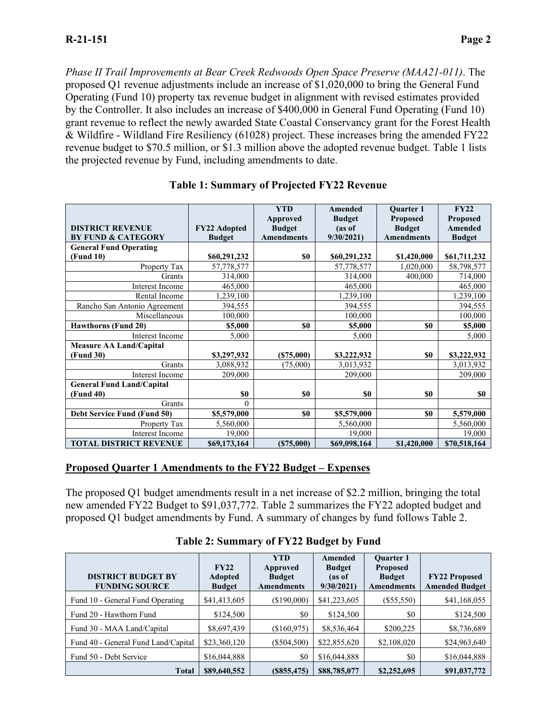*Phase II Trail Improvements at Bear Creek Redwoods Open Space Preserve (MAA21-011)*. The proposed Q1 revenue adjustments include an increase of \$1,020,000 to bring the General Fund Operating (Fund 10) property tax revenue budget in alignment with revised estimates provided by the Controller. It also includes an increase of \$400,000 in General Fund Operating (Fund 10) grant revenue to reflect the newly awarded State Coastal Conservancy grant for the Forest Health & Wildfire - Wildland Fire Resiliency (61028) project. These increases bring the amended FY22 revenue budget to \$70.5 million, or \$1.3 million above the adopted revenue budget. Table 1 lists the projected revenue by Fund, including amendments to date.

|                                  |               | <b>YTD</b><br><b>Approved</b> | Amended<br><b>Budget</b> | <b>Ouarter 1</b><br><b>Proposed</b> | FY22<br><b>Proposed</b> |
|----------------------------------|---------------|-------------------------------|--------------------------|-------------------------------------|-------------------------|
| <b>DISTRICT REVENUE</b>          | FY22 Adopted  | <b>Budget</b>                 | (as of                   | <b>Budget</b>                       | Amended                 |
| <b>BY FUND &amp; CATEGORY</b>    | <b>Budget</b> | <b>Amendments</b>             | 9/30/2021                | <b>Amendments</b>                   | <b>Budget</b>           |
| <b>General Fund Operating</b>    |               |                               |                          |                                     |                         |
| (Fund 10)                        | \$60,291,232  | \$0                           | \$60,291,232             | \$1,420,000                         | \$61,711,232            |
| Property Tax                     | 57,778,577    |                               | 57,778,577               | 1,020,000                           | 58,798,577              |
| Grants                           | 314,000       |                               | 314,000                  | 400,000                             | 714,000                 |
| <b>Interest Income</b>           | 465,000       |                               | 465,000                  |                                     | 465,000                 |
| Rental Income                    | 1,239,100     |                               | 1,239,100                |                                     | 1,239,100               |
| Rancho San Antonio Agreement     | 394,555       |                               | 394,555                  |                                     | 394,555                 |
| Miscellaneous                    | 100,000       |                               | 100,000                  |                                     | 100,000                 |
| <b>Hawthorns (Fund 20)</b>       | \$5,000       | \$0                           | \$5,000                  | \$0                                 | \$5,000                 |
| <b>Interest Income</b>           | 5,000         |                               | 5,000                    |                                     | 5,000                   |
| <b>Measure AA Land/Capital</b>   |               |                               |                          |                                     |                         |
| (Fund 30)                        | \$3,297,932   | (S75,000)                     | \$3,222,932              | \$0                                 | \$3,222,932             |
| Grants                           | 3,088,932     | (75,000)                      | 3,013,932                |                                     | 3,013,932               |
| <b>Interest Income</b>           | 209,000       |                               | 209,000                  |                                     | 209,000                 |
| <b>General Fund Land/Capital</b> |               |                               |                          |                                     |                         |
| (Fund 40)                        | \$0           | \$0                           | \$0                      | \$0                                 | \$0                     |
| Grants                           | 0             |                               |                          |                                     |                         |
| Debt Service Fund (Fund 50)      | \$5,579,000   | \$0                           | \$5,579,000              | \$0                                 | 5,579,000               |
| Property Tax                     | 5,560,000     |                               | 5,560,000                |                                     | 5,560,000               |
| Interest Income                  | 19,000        |                               | 19,000                   |                                     | 19,000                  |
| <b>TOTAL DISTRICT REVENUE</b>    | \$69,173,164  | (\$75,000)                    | \$69,098,164             | \$1,420,000                         | \$70,518,164            |

## **Table 1: Summary of Projected FY22 Revenue**

#### **Proposed Quarter 1 Amendments to the FY22 Budget – Expenses**

The proposed Q1 budget amendments result in a net increase of \$2.2 million, bringing the total new amended FY22 Budget to \$91,037,772. Table 2 summarizes the FY22 adopted budget and proposed Q1 budget amendments by Fund. A summary of changes by fund follows Table 2.

| <b>DISTRICT BUDGET BY</b><br><b>FUNDING SOURCE</b> | FY22<br><b>Adopted</b><br><b>Budget</b> | <b>YTD</b><br>Approved<br><b>Budget</b><br><b>Amendments</b> | Amended<br><b>Budget</b><br>(as of<br>9/30/2021 | <b>Ouarter 1</b><br><b>Proposed</b><br><b>Budget</b><br><b>Amendments</b> | <b>FY22 Proposed</b><br><b>Amended Budget</b> |
|----------------------------------------------------|-----------------------------------------|--------------------------------------------------------------|-------------------------------------------------|---------------------------------------------------------------------------|-----------------------------------------------|
| Fund 10 - General Fund Operating                   | \$41,413,605                            | (\$190,000)                                                  | \$41,223,605                                    | $(\$55,550)$                                                              | \$41,168,055                                  |
| Fund 20 - Hawthorn Fund                            | \$124,500                               | \$0                                                          | \$124,500                                       | \$0                                                                       | \$124,500                                     |
| Fund 30 - MAA Land/Capital                         | \$8,697,439                             | (\$160,975)                                                  | \$8,536,464                                     | \$200,225                                                                 | \$8,736,689                                   |
| Fund 40 - General Fund Land/Capital                | \$23,360,120                            | $(\$504,500)$                                                | \$22,855,620                                    | \$2,108,020                                                               | \$24,963,640                                  |
| Fund 50 - Debt Service                             | \$16,044,888                            | \$0                                                          | \$16,044,888                                    | \$0                                                                       | \$16,044,888                                  |
| <b>Total</b>                                       | \$89,640,552                            | (S855, 475)                                                  | \$88,785,077                                    | \$2,252,695                                                               | \$91,037,772                                  |

**Table 2: Summary of FY22 Budget by Fund**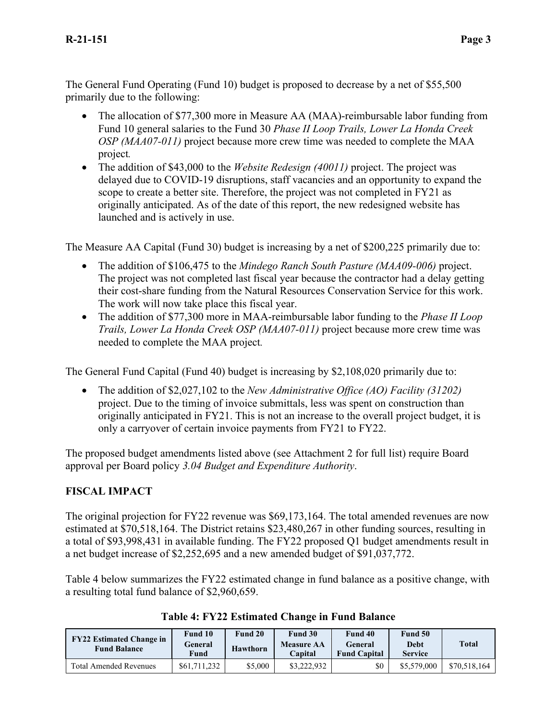The General Fund Operating (Fund 10) budget is proposed to decrease by a net of \$55,500 primarily due to the following:

- The allocation of \$77,300 more in Measure AA (MAA)-reimbursable labor funding from Fund 10 general salaries to the Fund 30 *Phase II Loop Trails, Lower La Honda Creek OSP (MAA07-011)* project because more crew time was needed to complete the MAA project*.*
- The addition of \$43,000 to the *Website Redesign (40011)* project. The project was delayed due to COVID-19 disruptions, staff vacancies and an opportunity to expand the scope to create a better site. Therefore, the project was not completed in FY21 as originally anticipated. As of the date of this report, the new redesigned website has launched and is actively in use.

The Measure AA Capital (Fund 30) budget is increasing by a net of \$200,225 primarily due to:

- The addition of \$106,475 to the *Mindego Ranch South Pasture (MAA09-006)* project. The project was not completed last fiscal year because the contractor had a delay getting their cost-share funding from the Natural Resources Conservation Service for this work. The work will now take place this fiscal year.
- The addition of \$77,300 more in MAA-reimbursable labor funding to the *Phase II Loop Trails, Lower La Honda Creek OSP (MAA07-011)* project because more crew time was needed to complete the MAA project*.*

The General Fund Capital (Fund 40) budget is increasing by \$2,108,020 primarily due to:

• The addition of \$2,027,102 to the *New Administrative Office (AO) Facility (31202)*  project. Due to the timing of invoice submittals, less was spent on construction than originally anticipated in FY21. This is not an increase to the overall project budget, it is only a carryover of certain invoice payments from FY21 to FY22.

The proposed budget amendments listed above (see Attachment 2 for full list) require Board approval per Board policy *3.04 Budget and Expenditure Authority*.

# **FISCAL IMPACT**

The original projection for FY22 revenue was \$69,173,164. The total amended revenues are now estimated at \$70,518,164. The District retains \$23,480,267 in other funding sources, resulting in a total of \$93,998,431 in available funding. The FY22 proposed Q1 budget amendments result in a net budget increase of \$2,252,695 and a new amended budget of \$91,037,772.

Table 4 below summarizes the FY22 estimated change in fund balance as a positive change, with a resulting total fund balance of \$2,960,659.

| <b>FY22 Estimated Change in</b><br><b>Fund Balance</b> | Fund 10<br>General<br>Fund | Fund 20<br>Hawthorn | Fund 30<br><b>Measure AA</b><br>Capital | Fund 40<br>General<br><b>Fund Capital</b> | Fund 50<br>Debt<br><b>Service</b> | <b>Total</b> |
|--------------------------------------------------------|----------------------------|---------------------|-----------------------------------------|-------------------------------------------|-----------------------------------|--------------|
| <b>Total Amended Revenues</b>                          | \$61,711,232               | \$5,000             | \$3,222,932                             | \$0                                       | \$5,579,000                       | \$70,518,164 |

**Table 4: FY22 Estimated Change in Fund Balance**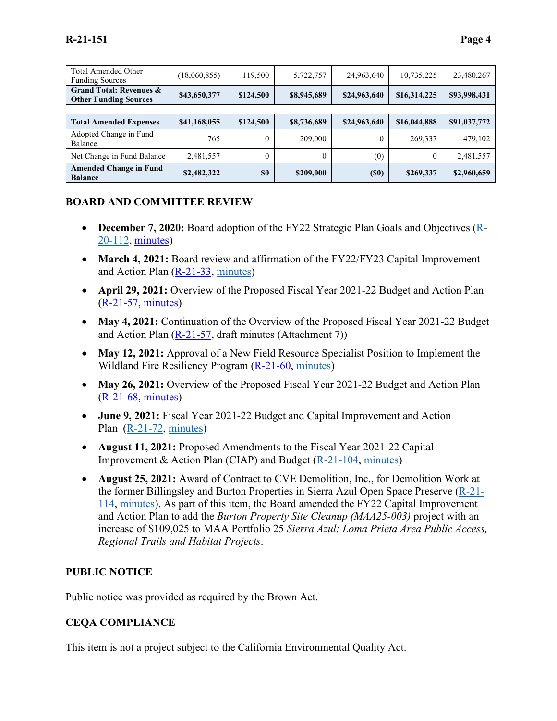| <b>Total Amended Other</b><br><b>Funding Sources</b>               | (18,060,855) | 119,500   | 5,722,757   | 24,963,640        | 10,735,225   | 23,480,267   |
|--------------------------------------------------------------------|--------------|-----------|-------------|-------------------|--------------|--------------|
| <b>Grand Total: Revenues &amp;</b><br><b>Other Funding Sources</b> | \$43,650,377 | \$124,500 | \$8,945,689 | \$24,963,640      | \$16,314,225 | \$93,998,431 |
|                                                                    |              |           |             |                   |              |              |
| <b>Total Amended Expenses</b>                                      | \$41,168,055 | \$124,500 | \$8,736,689 | \$24,963,640      | \$16,044,888 | \$91,037,772 |
| Adopted Change in Fund<br>Balance                                  | 765          | 0         | 209,000     | 0                 | 269,337      | 479,102      |
| Net Change in Fund Balance                                         | 2,481,557    | $\theta$  | 0           | (0)               | $\mathbf{0}$ | 2,481,557    |
| <b>Amended Change in Fund</b><br><b>Balance</b>                    | \$2,482,322  | \$0       | \$209,000   | (S <sub>0</sub> ) | \$269,337    | \$2,960,659  |

#### **BOARD AND COMMITTEE REVIEW**

- **December 7, 2020:** Board adoption of the FY22 Strategic Plan Goals and Objectives [\(R-](https://www.openspace.org/sites/default/files/20201207_StratPlan_EnvScan_R-20-112.pdf)[20-112,](https://www.openspace.org/sites/default/files/20201207_StratPlan_EnvScan_R-20-112.pdf) [minutes\)](https://www.openspace.org/sites/default/files/20201207_BOD_minutes_APPROVED.pdf)
- **March 4, 2021:** Board review and affirmation of the FY22/FY23 Capital Improvement and Action Plan [\(R-21-33,](https://www.openspace.org/sites/default/files/20210304_DraftActionPlan_R-21-33.pdf) [minutes\)](https://www.openspace.org/sites/default/files/20210304_BOD_minutes_DRAFT.pdf)
- **April 29, 2021:** Overview of the Proposed Fiscal Year 2021-22 Budget and Action Plan [\(R-21-57,](https://www.openspace.org/sites/default/files/20210429_FY22ActionPlan%26BudgetReview_R-21-57.pdf) [minutes\)](https://www.openspace.org/sites/default/files/20210429_ABC_Minutes_DRAFT.pdf)
- **May 4, 2021:** Continuation of the Overview of the Proposed Fiscal Year 2021-22 Budget and Action Plan  $(R-21-57, \text{draff minutes (Attachment 7)})$  $(R-21-57, \text{draff minutes (Attachment 7)})$
- May 12, 2021: Approval of a New Field Resource Specialist Position to Implement the Wildland Fire Resiliency Program [\(R-21-60,](https://www.openspace.org/sites/default/files/20210512_FieldResourceSpc_R-21-60.pdf) [minutes\)](https://www.openspace.org/sites/default/files/20210512_BOD_minutes_DRAFT.pdf)
- May 26, 2021: Overview of the Proposed Fiscal Year 2021-22 Budget and Action Plan [\(R-21-68,](https://www.openspace.org/sites/default/files/20210526_FY21-22ActionPlan%26Budget_R-21-68.pdf) [minutes\)](https://www.openspace.org/sites/default/files/20210526_BOD_minutes_DRAFT.pdf)
- **June 9, 2021:** Fiscal Year 2021-22 Budget and Capital Improvement and Action Plan [\(R-21-72,](https://www.openspace.org/sites/default/files/20210609_FY22Budget%26ActionPlan_R-21-72.pdf) [minutes\)](https://www.openspace.org/sites/default/files/20210609_BOD_minutes_DRAFT.pdf)
- **August 11, 2021:** Proposed Amendments to the Fiscal Year 2021-22 Capital Improvement & Action Plan (CIAP) and Budget [\(R-21-104,](https://www.openspace.org/sites/default/files/20210811_ProposedFY22Budget%26CIAPAmdts_R-21-104.pdf) [minutes\)](https://www.openspace.org/sites/default/files/20210811_BOD_minutes_APPROVED.pdf)
- **August 25, 2021:** Award of Contract to CVE Demolition, Inc., for Demolition Work at the former Billingsley and Burton Properties in Sierra Azul Open Space Preserve [\(R-21-](https://www.openspace.org/sites/default/files/20210825_Billingsley%26BurtonDemo_R-21-114.pdf) [114,](https://www.openspace.org/sites/default/files/20210825_Billingsley%26BurtonDemo_R-21-114.pdf) [minutes\)](https://www.openspace.org/sites/default/files/20210825_BOD_minutes_APPROVED.pdf). As part of this item, the Board amended the FY22 Capital Improvement and Action Plan to add the *Burton Property Site Cleanup (MAA25-003)* project with an increase of \$109,025 to MAA Portfolio 25 *Sierra Azul: Loma Prieta Area Public Access, Regional Trails and Habitat Projects*.

#### **PUBLIC NOTICE**

Public notice was provided as required by the Brown Act.

#### **CEQA COMPLIANCE**

This item is not a project subject to the California Environmental Quality Act.